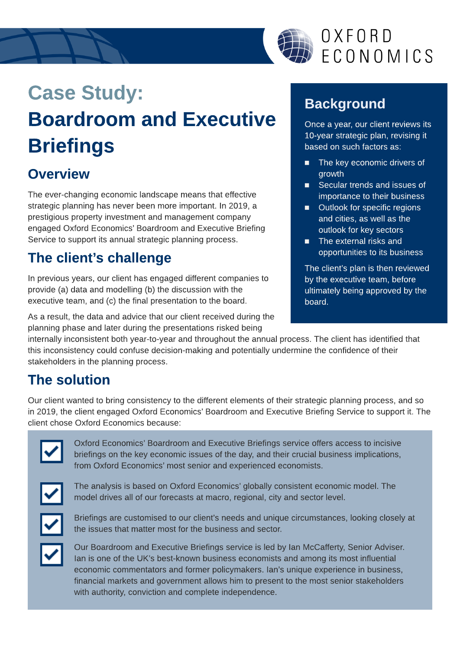

## OXFORD ECONOMICS

# Case Study: Boardroom and Executive **Briefings**

#### **Overview**

The ever-changing economic landscape means that effective strategic planning has never been more important. In 2019, a prestigious property investment and management company engaged Oxford Economics?Boardroom and Executive Briefing Service to support its annual strategic planning process.

### The client?s challenge

In previous years, our client has engaged different companies to provide (a) data and modelling (b) the discussion with the executive team, and (c) the final presentation to the board.

As a result, the data and advice that our client received during the planning phase and later during the presentations risked being

**Background** 

Once a year, our client reviews its 10-year strategic plan, revising it based on such factors as:

- **The key economic drivers of** growth
- **EXECUTE:** Secular trends and issues of importance to their business
- **DENTIFY Outlook for specific regions** and cities, as well as the outlook for key sectors
- $\blacksquare$  The external risks and opportunities to its business

The client?s plan is then reviewed by the executive team, before ultimately being approved by the board.

internally inconsistent both year-to-year and throughout the annual process. The client has identified that this inconsistency could confuse decision-making and potentially undermine the confidence of their stakeholders in the planning process.

#### The solution

Our client wanted to bring consistency to the different elements of their strategic planning process, and so in 2019, the client engaged Oxford Economics?Boardroom and Executive Briefing Service to support it. The client chose Oxford Economics because:



Oxford Economics' Boardroom and Executive Briefings service offers access to incisive briefings on the key economic issues of the day, and their crucial business implications, from Oxford Economics' most senior and experienced economists.



The analysis is based on Oxford Economics?globally consistent economic model. The model drives all of our forecasts at macro, regional, city and sector level.



Briefings are customised to our client's needs and unique circumstances, looking closely at the issues that matter most for the business and sector.



Our Boardroom and Executive Briefings service is led by Ian McCafferty, Senior Adviser. Ian is one of the UK?s best-known business economists and among its most influential economic commentators and former policymakers. Ian's unique experience in business, financial markets and government allows him to present to the most senior stakeholders with authority, conviction and complete independence.